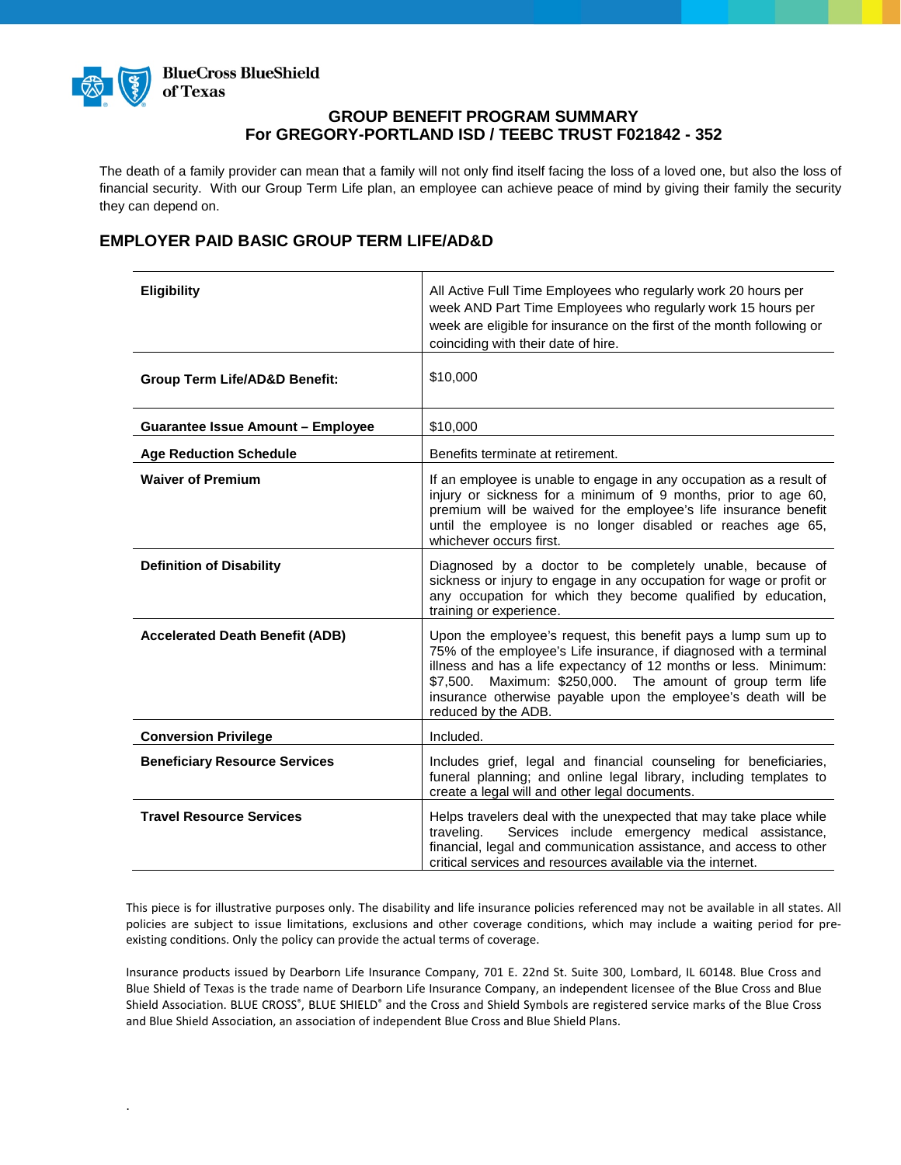

### **GROUP BENEFIT PROGRAM SUMMARY For GREGORY-PORTLAND ISD / TEEBC TRUST F021842 - 352**

The death of a family provider can mean that a family will not only find itself facing the loss of a loved one, but also the loss of financial security. With our Group Term Life plan, an employee can achieve peace of mind by giving their family the security they can depend on.

# **EMPLOYER PAID BASIC GROUP TERM LIFE/AD&D**

| <b>Eligibility</b>                       | All Active Full Time Employees who regularly work 20 hours per<br>week AND Part Time Employees who regularly work 15 hours per<br>week are eligible for insurance on the first of the month following or<br>coinciding with their date of hire.                                                                                                                 |
|------------------------------------------|-----------------------------------------------------------------------------------------------------------------------------------------------------------------------------------------------------------------------------------------------------------------------------------------------------------------------------------------------------------------|
| <b>Group Term Life/AD&amp;D Benefit:</b> | \$10,000                                                                                                                                                                                                                                                                                                                                                        |
| <b>Guarantee Issue Amount - Employee</b> | \$10,000                                                                                                                                                                                                                                                                                                                                                        |
| <b>Age Reduction Schedule</b>            | Benefits terminate at retirement.                                                                                                                                                                                                                                                                                                                               |
| <b>Waiver of Premium</b>                 | If an employee is unable to engage in any occupation as a result of<br>injury or sickness for a minimum of 9 months, prior to age 60,<br>premium will be waived for the employee's life insurance benefit<br>until the employee is no longer disabled or reaches age 65,<br>whichever occurs first.                                                             |
| <b>Definition of Disability</b>          | Diagnosed by a doctor to be completely unable, because of<br>sickness or injury to engage in any occupation for wage or profit or<br>any occupation for which they become qualified by education,<br>training or experience.                                                                                                                                    |
| <b>Accelerated Death Benefit (ADB)</b>   | Upon the employee's request, this benefit pays a lump sum up to<br>75% of the employee's Life insurance, if diagnosed with a terminal<br>illness and has a life expectancy of 12 months or less. Minimum:<br>\$7,500. Maximum: \$250,000. The amount of group term life<br>insurance otherwise payable upon the employee's death will be<br>reduced by the ADB. |
| <b>Conversion Privilege</b>              | Included.                                                                                                                                                                                                                                                                                                                                                       |
| <b>Beneficiary Resource Services</b>     | Includes grief, legal and financial counseling for beneficiaries,<br>funeral planning; and online legal library, including templates to<br>create a legal will and other legal documents.                                                                                                                                                                       |
| <b>Travel Resource Services</b>          | Helps travelers deal with the unexpected that may take place while<br>Services include emergency medical assistance,<br>traveling.<br>financial, legal and communication assistance, and access to other<br>critical services and resources available via the internet.                                                                                         |

This piece is for illustrative purposes only. The disability and life insurance policies referenced may not be available in all states. All policies are subject to issue limitations, exclusions and other coverage conditions, which may include a waiting period for preexisting conditions. Only the policy can provide the actual terms of coverage.

Insurance products issued by Dearborn Life Insurance Company, 701 E. 22nd St. Suite 300, Lombard, IL 60148. Blue Cross and Blue Shield of Texas is the trade name of Dearborn Life Insurance Company, an independent licensee of the Blue Cross and Blue Shield Association. BLUE CROSS®, BLUE SHIELD® and the Cross and Shield Symbols are registered service marks of the Blue Cross and Blue Shield Association, an association of independent Blue Cross and Blue Shield Plans.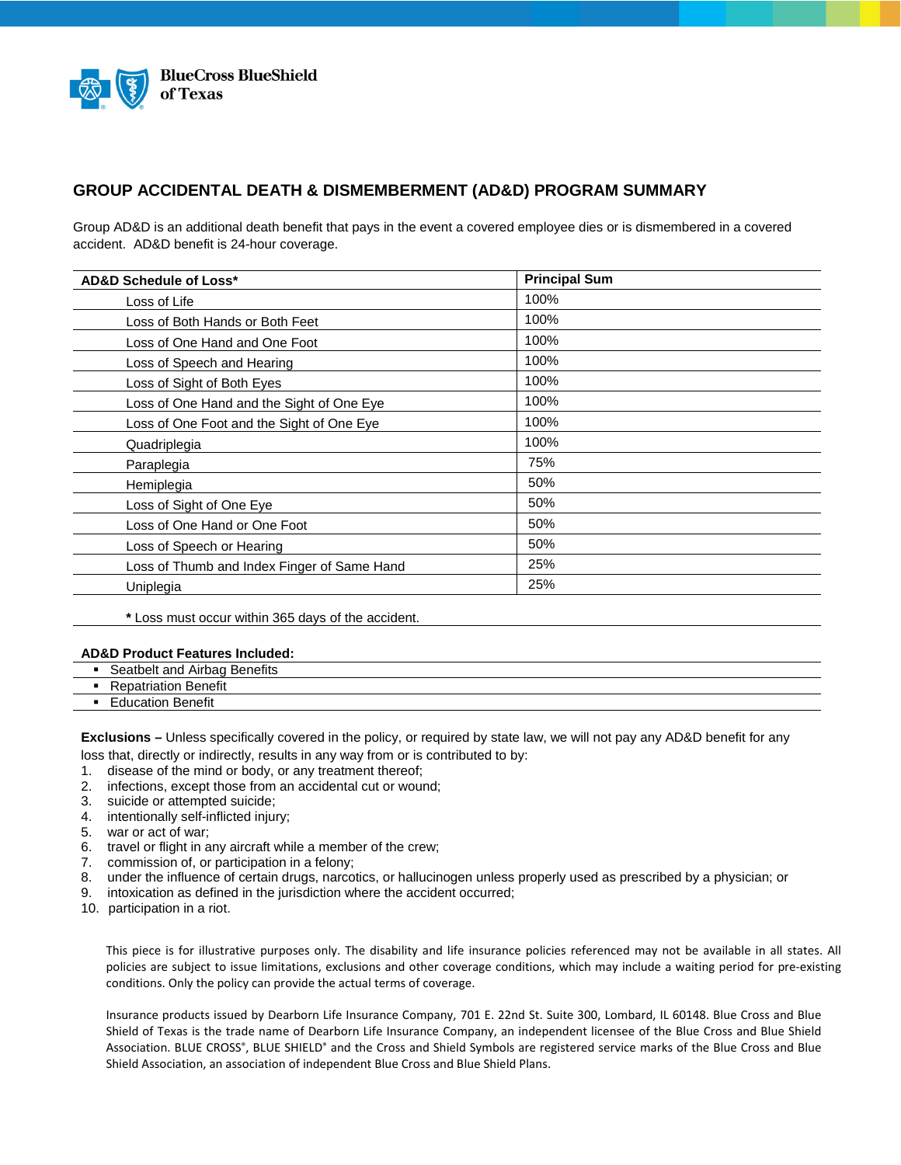

### **GROUP ACCIDENTAL DEATH & DISMEMBERMENT (AD&D) PROGRAM SUMMARY**

Group AD&D is an additional death benefit that pays in the event a covered employee dies or is dismembered in a covered accident. AD&D benefit is 24-hour coverage.

| <b>Principal Sum</b> |
|----------------------|
| 100%                 |
| 100%                 |
| 100%                 |
| 100%                 |
| 100%                 |
| 100%                 |
| 100%                 |
| 100%                 |
| 75%                  |
| 50%                  |
| 50%                  |
| 50%                  |
| 50%                  |
| 25%                  |
| 25%                  |
|                      |

**\*** Loss must occur within 365 days of the accident.

#### **AD&D Product Features Included:**

- Seatbelt and Airbag Benefits
- **Repatriation Benefit**
- **Education Benefit**

**Exclusions –** Unless specifically covered in the policy, or required by state law, we will not pay any AD&D benefit for any loss that, directly or indirectly, results in any way from or is contributed to by:

- 1. disease of the mind or body, or any treatment thereof;
- 2. infections, except those from an accidental cut or wound;
- 3. suicide or attempted suicide;
- 4. intentionally self-inflicted injury;
- 5. war or act of war;
- 6. travel or flight in any aircraft while a member of the crew;
- 
- 7. commission of, or participation in a felony;<br>8. under the influence of certain drugs, narco<br>9. intoxication as defined in the jurisdiction w 8. under the influence of certain drugs, narcotics, or hallucinogen unless properly used as prescribed by a physician; or
- intoxication as defined in the jurisdiction where the accident occurred;
- 10. participation in a riot.

This piece is for illustrative purposes only. The disability and life insurance policies referenced may not be available in all states. All policies are subject to issue limitations, exclusions and other coverage conditions, which may include a waiting period for pre-existing conditions. Only the policy can provide the actual terms of coverage.

Insurance products issued by Dearborn Life Insurance Company, 701 E. 22nd St. Suite 300, Lombard, IL 60148. Blue Cross and Blue Shield of Texas is the trade name of Dearborn Life Insurance Company, an independent licensee of the Blue Cross and Blue Shield Association. BLUE CROSS®, BLUE SHIELD® and the Cross and Shield Symbols are registered service marks of the Blue Cross and Blue Shield Association, an association of independent Blue Cross and Blue Shield Plans.